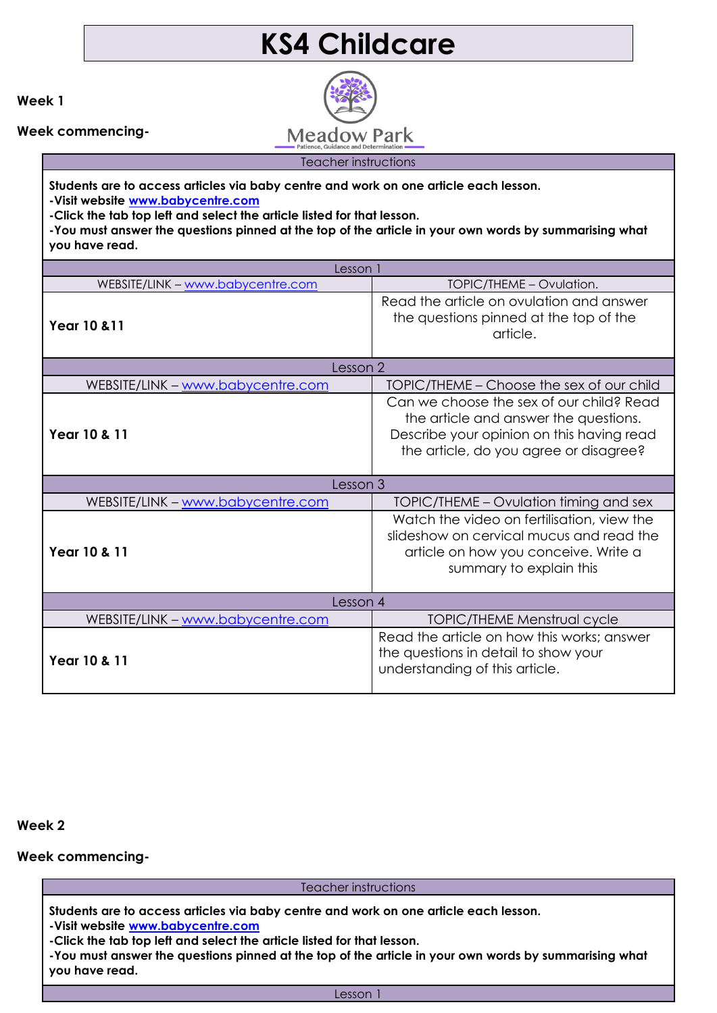## **KS4 Childcare**

**Week 1**

**Week commencing-**

**Meadow Park** Teacher instructions

**Students are to access articles via baby centre and work on one article each lesson.** 

**-Visit website [www.babycentre.com](http://www.babycentre.com/) -Click the tab top left and select the article listed for that lesson.**

**-You must answer the questions pinned at the top of the article in your own words by summarising what you have read.**

| Lesson 1                          |                                                                                                                                                                          |
|-----------------------------------|--------------------------------------------------------------------------------------------------------------------------------------------------------------------------|
| WEBSITE/LINK - www.babycentre.com | TOPIC/THEME – Ovulation.                                                                                                                                                 |
| <b>Year 10 &amp; 11</b>           | Read the article on ovulation and answer<br>the questions pinned at the top of the<br>article.                                                                           |
| Lesson 2                          |                                                                                                                                                                          |
| WEBSITE/LINK - www.babycentre.com | TOPIC/THEME – Choose the sex of our child                                                                                                                                |
| Year 10 & 11                      | Can we choose the sex of our child? Read<br>the article and answer the questions.<br>Describe your opinion on this having read<br>the article, do you agree or disagree? |
| Lesson 3                          |                                                                                                                                                                          |
| WEBSITE/LINK - www.babycentre.com | TOPIC/THEME – Ovulation timing and sex                                                                                                                                   |
| Year 10 & 11                      | Watch the video on fertilisation, view the<br>slideshow on cervical mucus and read the<br>article on how you conceive. Write a<br>summary to explain this                |
| Lesson 4                          |                                                                                                                                                                          |
|                                   |                                                                                                                                                                          |
| WEBSITE/LINK - www.babycentre.com | <b>TOPIC/THEME Menstrual cycle</b>                                                                                                                                       |

**Week 2**

**Week commencing-**

Teacher instructions

**Students are to access articles via baby centre and work on one article each lesson. -Visit website [www.babycentre.com](http://www.babycentre.com/)**

**-Click the tab top left and select the article listed for that lesson.**

**-You must answer the questions pinned at the top of the article in your own words by summarising what you have read.**

Lesson 1